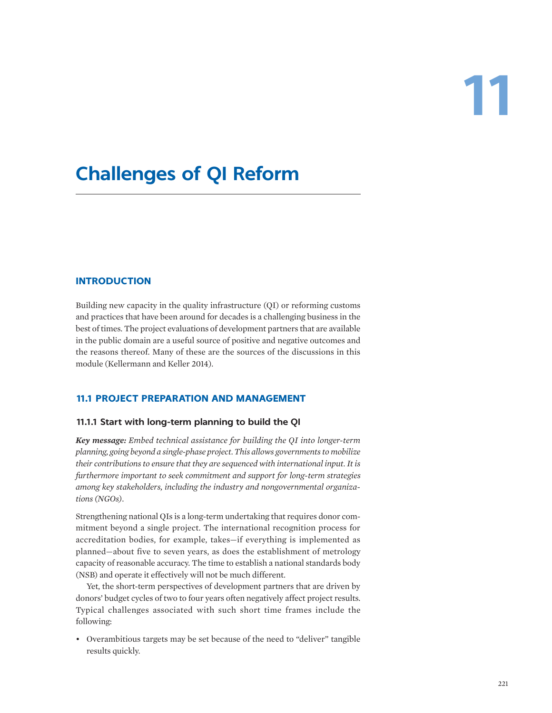# **Challenges of QI Reform**

# **INTRODUCTION**

Building new capacity in the quality infrastructure (QI) or reforming customs and practices that have been around for decades is a challenging business in the best of times. The project evaluations of development partners that are available in the public domain are a useful source of positive and negative outcomes and the reasons thereof. Many of these are the sources of the discussions in this module (Kellermann and Keller 2014).

# **11.1 PROJECT PREPARATION AND MANAGEMENT**

### **11.1.1 Start with long-term planning to build the QI**

*Key message: Embed technical assistance for building the QI into longer-term planning, going beyond a single-phase project. This allows governments to mobilize their contributions to ensure that they are sequenced with international input. It is furthermore important to seek commitment and support for long-term strategies among key stakeholders, including the industry and nongovernmental organizations (NGOs).*

Strengthening national QIs is a long-term undertaking that requires donor commitment beyond a single project. The international recognition process for accreditation bodies, for example, takes—if everything is implemented as planned—about five to seven years, as does the establishment of metrology capacity of reasonable accuracy. The time to establish a national standards body (NSB) and operate it effectively will not be much different.

Yet, the short-term perspectives of development partners that are driven by donors' budget cycles of two to four years often negatively affect project results. Typical challenges associated with such short time frames include the following:

• Overambitious targets may be set because of the need to "deliver" tangible results quickly.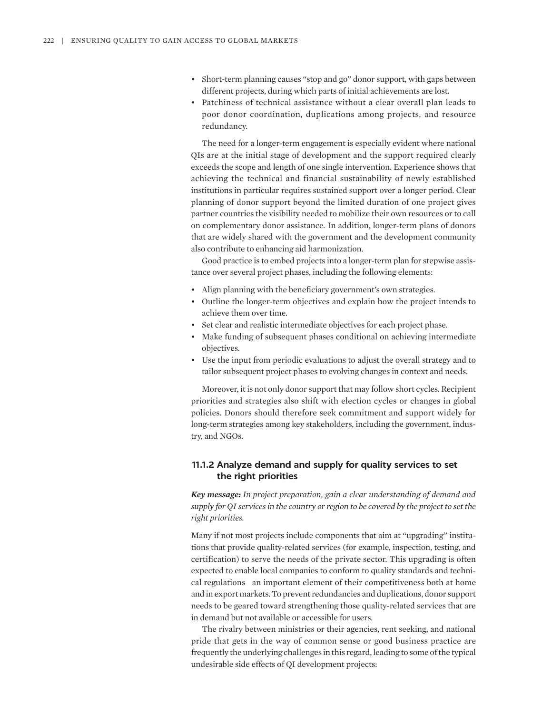- Short-term planning causes "stop and go" donor support, with gaps between different projects, during which parts of initial achievements are lost.
- Patchiness of technical assistance without a clear overall plan leads to poor donor coordination, duplications among projects, and resource redundancy.

The need for a longer-term engagement is especially evident where national QIs are at the initial stage of development and the support required clearly exceeds the scope and length of one single intervention. Experience shows that achieving the technical and financial sustainability of newly established institutions in particular requires sustained support over a longer period. Clear planning of donor support beyond the limited duration of one project gives partner countries the visibility needed to mobilize their own resources or to call on complementary donor assistance. In addition, longer-term plans of donors that are widely shared with the government and the development community also contribute to enhancing aid harmonization.

Good practice is to embed projects into a longer-term plan for stepwise assistance over several project phases, including the following elements:

- Align planning with the beneficiary government's own strategies.
- Outline the longer-term objectives and explain how the project intends to achieve them over time.
- Set clear and realistic intermediate objectives for each project phase.
- Make funding of subsequent phases conditional on achieving intermediate objectives.
- Use the input from periodic evaluations to adjust the overall strategy and to tailor subsequent project phases to evolving changes in context and needs.

Moreover, it is not only donor support that may follow short cycles. Recipient priorities and strategies also shift with election cycles or changes in global policies. Donors should therefore seek commitment and support widely for long-term strategies among key stakeholders, including the government, industry, and NGOs.

# **11.1.2 Analyze demand and supply for quality services to set the right priorities**

*Key message: In project preparation, gain a clear understanding of demand and supply for QI services in the country or region to be covered by the project to set the right priorities.*

Many if not most projects include components that aim at "upgrading" institutions that provide quality-related services (for example, inspection, testing, and certification) to serve the needs of the private sector. This upgrading is often expected to enable local companies to conform to quality standards and technical regulations—an important element of their competitiveness both at home and in export markets. To prevent redundancies and duplications, donor support needs to be geared toward strengthening those quality-related services that are in demand but not available or accessible for users.

The rivalry between ministries or their agencies, rent seeking, and national pride that gets in the way of common sense or good business practice are frequently the underlying challenges in this regard, leading to some of the typical undesirable side effects of QI development projects: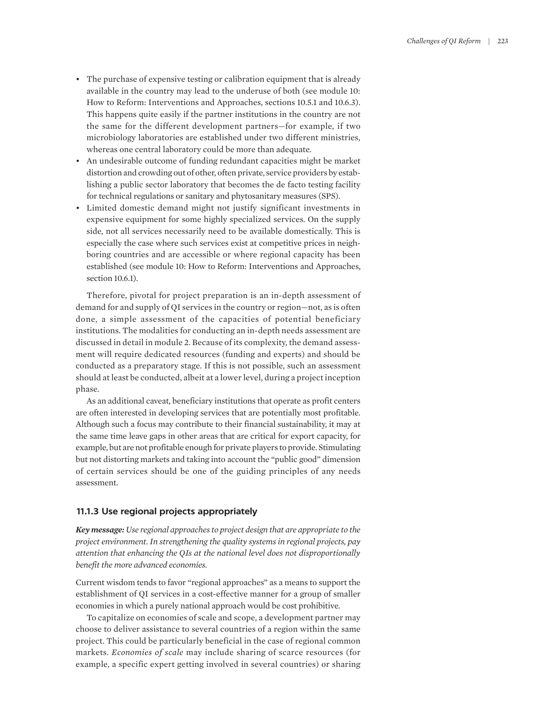- The purchase of expensive testing or calibration equipment that is already available in the country may lead to the underuse of both (see module 10: How to Reform: Interventions and Approaches, sections 10.5.1 and 10.6.3). This happens quite easily if the partner institutions in the country are not the same for the different development partners—for example, if two microbiology laboratories are established under two different ministries, whereas one central laboratory could be more than adequate.
- An undesirable outcome of funding redundant capacities might be market distortion and crowding out of other, often private, service providers by establishing a public sector laboratory that becomes the de facto testing facility for technical regulations or sanitary and phytosanitary measures (SPS).
- Limited domestic demand might not justify significant investments in expensive equipment for some highly specialized services. On the supply side, not all services necessarily need to be available domestically. This is especially the case where such services exist at competitive prices in neighboring countries and are accessible or where regional capacity has been established (see module 10: How to Reform: Interventions and Approaches, section 10.6.1).

Therefore, pivotal for project preparation is an in-depth assessment of demand for and supply of QI services in the country or region—not, as is often done, a simple assessment of the capacities of potential beneficiary institutions. The modalities for conducting an in-depth needs assessment are discussed in detail in module 2. Because of its complexity, the demand assessment will require dedicated resources (funding and experts) and should be conducted as a preparatory stage. If this is not possible, such an assessment should at least be conducted, albeit at a lower level, during a project inception phase.

As an additional caveat, beneficiary institutions that operate as profit centers are often interested in developing services that are potentially most profitable. Although such a focus may contribute to their financial sustainability, it may at the same time leave gaps in other areas that are critical for export capacity, for example, but are not profitable enough for private players to provide. Stimulating but not distorting markets and taking into account the "public good" dimension of certain services should be one of the guiding principles of any needs assessment.

### **11.1.3 Use regional projects appropriately**

*Key message: Use regional approaches to project design that are appropriate to the project environment. In strengthening the quality systems in regional projects, pay attention that enhancing the QIs at the national level does not disproportionally benefit the more advanced economies.*

Current wisdom tends to favor "regional approaches" as a means to support the establishment of QI services in a cost-effective manner for a group of smaller economies in which a purely national approach would be cost prohibitive.

To capitalize on economies of scale and scope, a development partner may choose to deliver assistance to several countries of a region within the same project. This could be particularly beneficial in the case of regional common markets. *Economies of scale* may include sharing of scarce resources (for example, a specific expert getting involved in several countries) or sharing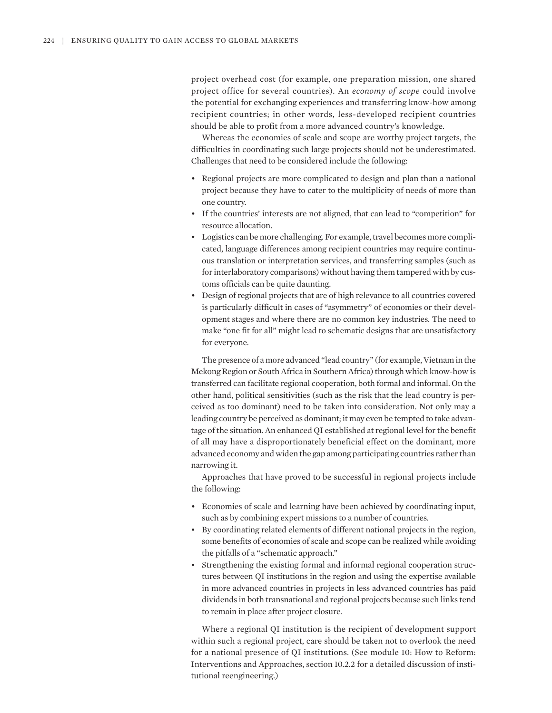project overhead cost (for example, one preparation mission, one shared project office for several countries). An *economy of scope* could involve the potential for exchanging experiences and transferring know-how among recipient countries; in other words, less-developed recipient countries should be able to profit from a more advanced country's knowledge.

Whereas the economies of scale and scope are worthy project targets, the difficulties in coordinating such large projects should not be underestimated. Challenges that need to be considered include the following:

- Regional projects are more complicated to design and plan than a national project because they have to cater to the multiplicity of needs of more than one country.
- If the countries' interests are not aligned, that can lead to "competition" for resource allocation.
- Logistics can be more challenging. For example, travel becomes more complicated, language differences among recipient countries may require continuous translation or interpretation services, and transferring samples (such as for interlaboratory comparisons) without having them tampered with by customs officials can be quite daunting.
- Design of regional projects that are of high relevance to all countries covered is particularly difficult in cases of "asymmetry" of economies or their development stages and where there are no common key industries. The need to make "one fit for all" might lead to schematic designs that are unsatisfactory for everyone.

The presence of a more advanced "lead country" (for example, Vietnam in the Mekong Region or South Africa in Southern Africa) through which know-how is transferred can facilitate regional cooperation, both formal and informal. On the other hand, political sensitivities (such as the risk that the lead country is perceived as too dominant) need to be taken into consideration. Not only may a leading country be perceived as dominant; it may even be tempted to take advantage of the situation. An enhanced QI established at regional level for the benefit of all may have a disproportionately beneficial effect on the dominant, more advanced economy and widen the gap among participating countries rather than narrowing it.

Approaches that have proved to be successful in regional projects include the following:

- Economies of scale and learning have been achieved by coordinating input, such as by combining expert missions to a number of countries.
- By coordinating related elements of different national projects in the region, some benefits of economies of scale and scope can be realized while avoiding the pitfalls of a "schematic approach."
- Strengthening the existing formal and informal regional cooperation structures between QI institutions in the region and using the expertise available in more advanced countries in projects in less advanced countries has paid dividends in both transnational and regional projects because such links tend to remain in place after project closure.

Where a regional QI institution is the recipient of development support within such a regional project, care should be taken not to overlook the need for a national presence of QI institutions. (See module 10: How to Reform: Interventions and Approaches, section 10.2.2 for a detailed discussion of institutional reengineering.)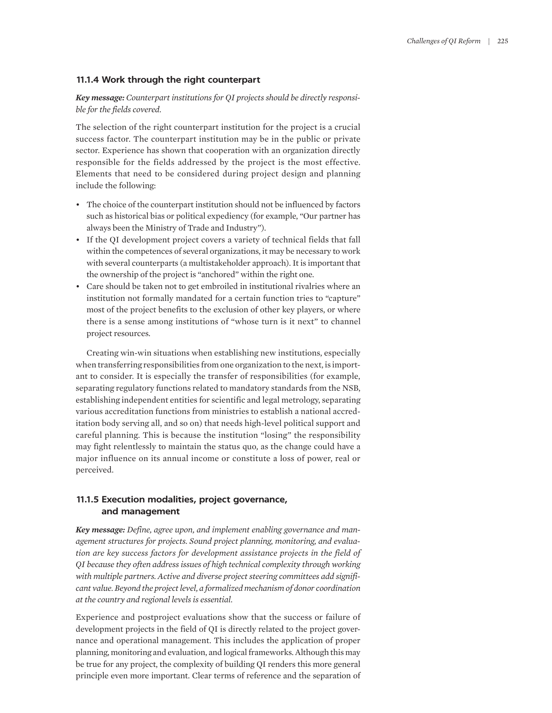## **11.1.4 Work through the right counterpart**

# *Key message: Counterpart institutions for QI projects should be directly responsible for the fields covered.*

The selection of the right counterpart institution for the project is a crucial success factor. The counterpart institution may be in the public or private sector. Experience has shown that cooperation with an organization directly responsible for the fields addressed by the project is the most effective. Elements that need to be considered during project design and planning include the following:

- The choice of the counterpart institution should not be influenced by factors such as historical bias or political expediency (for example, "Our partner has always been the Ministry of Trade and Industry").
- If the QI development project covers a variety of technical fields that fall within the competences of several organizations, it may be necessary to work with several counterparts (a multistakeholder approach). It is important that the ownership of the project is "anchored" within the right one.
- Care should be taken not to get embroiled in institutional rivalries where an institution not formally mandated for a certain function tries to "capture" most of the project benefits to the exclusion of other key players, or where there is a sense among institutions of "whose turn is it next" to channel project resources.

Creating win-win situations when establishing new institutions, especially when transferring responsibilities from one organization to the next, is important to consider. It is especially the transfer of responsibilities (for example, separating regulatory functions related to mandatory standards from the NSB, establishing independent entities for scientific and legal metrology, separating various accreditation functions from ministries to establish a national accreditation body serving all, and so on) that needs high-level political support and careful planning. This is because the institution "losing" the responsibility may fight relentlessly to maintain the status quo*,* as the change could have a major influence on its annual income or constitute a loss of power, real or perceived.

# **11.1.5 Execution modalities, project governance, and management**

*Key message: Define, agree upon, and implement enabling governance and management structures for projects. Sound project planning, monitoring, and evaluation are key success factors for development assistance projects in the field of QI because they often address issues of high technical complexity through working with multiple partners. Active and diverse project steering committees add significant value. Beyond the project level, a formalized mechanism of donor coordination at the country and regional levels is essential.*

Experience and postproject evaluations show that the success or failure of development projects in the field of QI is directly related to the project governance and operational management. This includes the application of proper planning, monitoring and evaluation, and logical frameworks. Although this may be true for any project, the complexity of building QI renders this more general principle even more important. Clear terms of reference and the separation of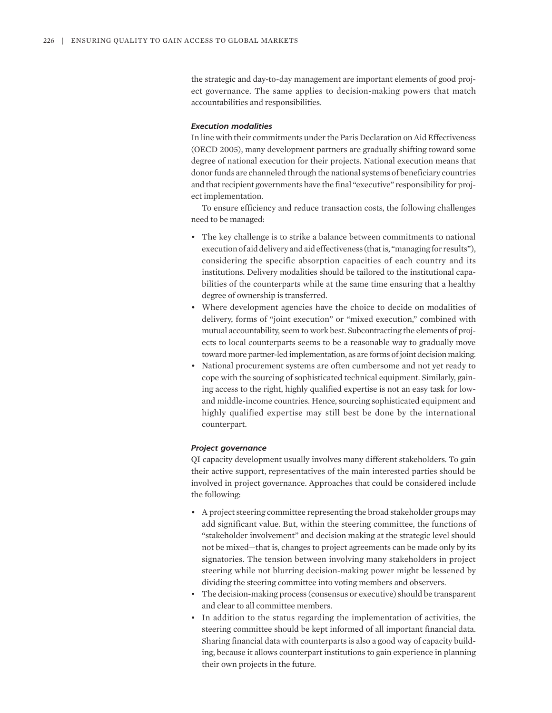the strategic and day-to-day management are important elements of good project governance. The same applies to decision-making powers that match accountabilities and responsibilities.

## *Execution modalities*

In line with their commitments under the Paris Declaration on Aid Effectiveness (OECD 2005), many development partners are gradually shifting toward some degree of national execution for their projects. National execution means that donor funds are channeled through the national systems of beneficiary countries and that recipient governments have the final "executive" responsibility for project implementation.

To ensure efficiency and reduce transaction costs, the following challenges need to be managed:

- The key challenge is to strike a balance between commitments to national execution of aid delivery and aid effectiveness (that is, "managing for results"), considering the specific absorption capacities of each country and its institutions. Delivery modalities should be tailored to the institutional capabilities of the counterparts while at the same time ensuring that a healthy degree of ownership is transferred.
- Where development agencies have the choice to decide on modalities of delivery, forms of "joint execution" or "mixed execution," combined with mutual accountability, seem to work best. Subcontracting the elements of projects to local counterparts seems to be a reasonable way to gradually move toward more partner-led implementation, as are forms of joint decision making.
- National procurement systems are often cumbersome and not yet ready to cope with the sourcing of sophisticated technical equipment. Similarly, gaining access to the right, highly qualified expertise is not an easy task for lowand middle-income countries. Hence, sourcing sophisticated equipment and highly qualified expertise may still best be done by the international counterpart.

#### *Project governance*

QI capacity development usually involves many different stakeholders. To gain their active support, representatives of the main interested parties should be involved in project governance. Approaches that could be considered include the following:

- A project steering committee representing the broad stakeholder groups may add significant value. But, within the steering committee, the functions of "stakeholder involvement" and decision making at the strategic level should not be mixed—that is, changes to project agreements can be made only by its signatories. The tension between involving many stakeholders in project steering while not blurring decision-making power might be lessened by dividing the steering committee into voting members and observers.
- The decision-making process (consensus or executive) should be transparent and clear to all committee members.
- In addition to the status regarding the implementation of activities, the steering committee should be kept informed of all important financial data. Sharing financial data with counterparts is also a good way of capacity building, because it allows counterpart institutions to gain experience in planning their own projects in the future.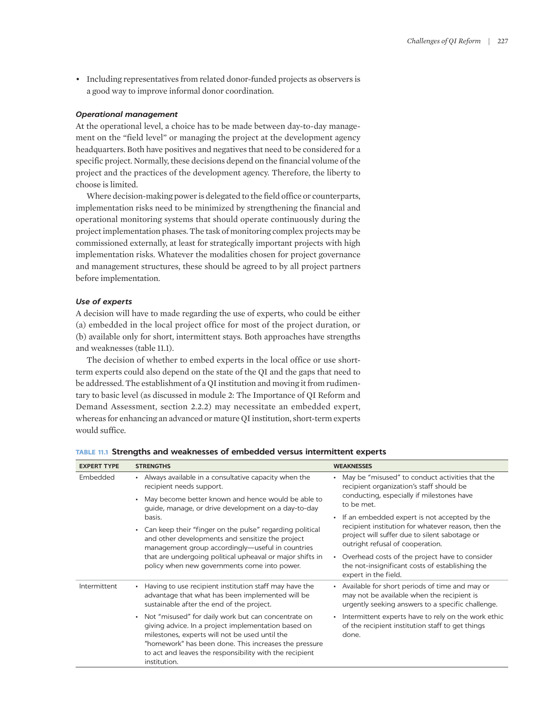• Including representatives from related donor-funded projects as observers is a good way to improve informal donor coordination.

## *Operational management*

At the operational level, a choice has to be made between day-to-day management on the "field level" or managing the project at the development agency headquarters. Both have positives and negatives that need to be considered for a specific project. Normally, these decisions depend on the financial volume of the project and the practices of the development agency. Therefore, the liberty to choose is limited.

Where decision-making power is delegated to the field office or counterparts, implementation risks need to be minimized by strengthening the financial and operational monitoring systems that should operate continuously during the project implementation phases. The task of monitoring complex projects may be commissioned externally, at least for strategically important projects with high implementation risks. Whatever the modalities chosen for project governance and management structures, these should be agreed to by all project partners before implementation.

#### *Use of experts*

A decision will have to made regarding the use of experts, who could be either (a) embedded in the local project office for most of the project duration, or (b) available only for short, intermittent stays. Both approaches have strengths and weaknesses (table 11.1).

The decision of whether to embed experts in the local office or use shortterm experts could also depend on the state of the QI and the gaps that need to be addressed. The establishment of a QI institution and moving it from rudimentary to basic level (as discussed in module 2: The Importance of QI Reform and Demand Assessment, section 2.2.2) may necessitate an embedded expert, whereas for enhancing an advanced or mature QI institution, short-term experts would suffice.

| <b>EXPERT TYPE</b> | <b>STRENGTHS</b>                                                                                                                                                                                                                                                                                              | <b>WEAKNESSES</b>                                                                                                                                      |  |
|--------------------|---------------------------------------------------------------------------------------------------------------------------------------------------------------------------------------------------------------------------------------------------------------------------------------------------------------|--------------------------------------------------------------------------------------------------------------------------------------------------------|--|
| Embedded           | Always available in a consultative capacity when the<br>recipient needs support.                                                                                                                                                                                                                              | May be "misused" to conduct activities that the<br>recipient organization's staff should be<br>conducting, especially if milestones have<br>to be met. |  |
|                    | May become better known and hence would be able to<br>$\bullet$<br>quide, manage, or drive development on a day-to-day                                                                                                                                                                                        |                                                                                                                                                        |  |
|                    | basis.                                                                                                                                                                                                                                                                                                        | If an embedded expert is not accepted by the<br>$\bullet$                                                                                              |  |
|                    | Can keep their "finger on the pulse" regarding political<br>$\bullet$<br>and other developments and sensitize the project<br>management group accordingly-useful in countries<br>that are undergoing political upheaval or major shifts in<br>policy when new governments come into power.                    | recipient institution for whatever reason, then the<br>project will suffer due to silent sabotage or<br>outright refusal of cooperation.               |  |
|                    |                                                                                                                                                                                                                                                                                                               | Overhead costs of the project have to consider<br>the not-insignificant costs of establishing the<br>expert in the field.                              |  |
| Intermittent       | Having to use recipient institution staff may have the<br>$\bullet$<br>advantage that what has been implemented will be<br>sustainable after the end of the project.                                                                                                                                          | Available for short periods of time and may or<br>may not be available when the recipient is<br>urgently seeking answers to a specific challenge.      |  |
|                    | Not "misused" for daily work but can concentrate on<br>$\bullet$<br>giving advice. In a project implementation based on<br>milestones, experts will not be used until the<br>"homework" has been done. This increases the pressure<br>to act and leaves the responsibility with the recipient<br>institution. | Intermittent experts have to rely on the work ethic<br>of the recipient institution staff to get things<br>done.                                       |  |

| TABLE 11.1 Strengths and weaknesses of embedded versus intermittent experts |  |  |
|-----------------------------------------------------------------------------|--|--|
|-----------------------------------------------------------------------------|--|--|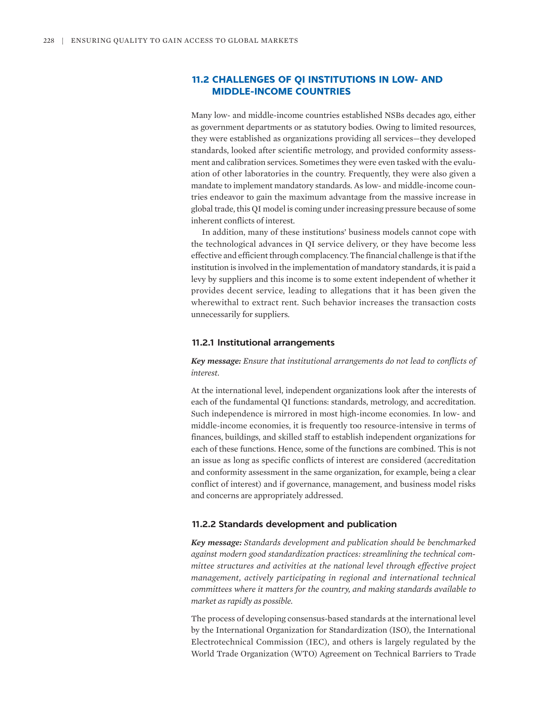# **11.2 CHALLENGES OF QI INSTITUTIONS IN LOW- AND MIDDLE-INCOME COUNTRIES**

Many low- and middle-income countries established NSBs decades ago, either as government departments or as statutory bodies. Owing to limited resources, they were established as organizations providing all services—they developed standards, looked after scientific metrology, and provided conformity assessment and calibration services. Sometimes they were even tasked with the evaluation of other laboratories in the country. Frequently, they were also given a mandate to implement mandatory standards. As low- and middle-income countries endeavor to gain the maximum advantage from the massive increase in global trade, this QI model is coming under increasing pressure because of some inherent conflicts of interest.

In addition, many of these institutions' business models cannot cope with the technological advances in QI service delivery, or they have become less effective and efficient through complacency. The financial challenge is that if the institution is involved in the implementation of mandatory standards, it is paid a levy by suppliers and this income is to some extent independent of whether it provides decent service, leading to allegations that it has been given the wherewithal to extract rent. Such behavior increases the transaction costs unnecessarily for suppliers.

#### **11.2.1 Institutional arrangements**

*Key message: Ensure that institutional arrangements do not lead to conflicts of interest.*

At the international level, independent organizations look after the interests of each of the fundamental QI functions: standards, metrology, and accreditation. Such independence is mirrored in most high-income economies. In low- and middle-income economies, it is frequently too resource-intensive in terms of finances, buildings, and skilled staff to establish independent organizations for each of these functions. Hence, some of the functions are combined. This is not an issue as long as specific conflicts of interest are considered (accreditation and conformity assessment in the same organization, for example, being a clear conflict of interest) and if governance, management, and business model risks and concerns are appropriately addressed.

## **11.2.2 Standards development and publication**

*Key message: Standards development and publication should be benchmarked against modern good standardization practices: streamlining the technical committee structures and activities at the national level through effective project management, actively participating in regional and international technical committees where it matters for the country, and making standards available to market as rapidly as possible.*

The process of developing consensus-based standards at the international level by the International Organization for Standardization (ISO), the International Electrotechnical Commission (IEC), and others is largely regulated by the World Trade Organization (WTO) Agreement on Technical Barriers to Trade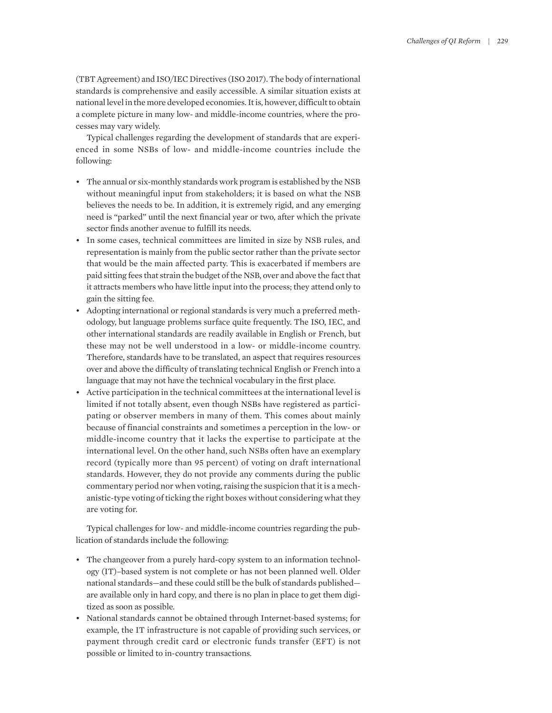(TBT Agreement) and ISO/IEC Directives (ISO 2017). The body of international standards is comprehensive and easily accessible. A similar situation exists at national level in the more developed economies. It is, however, difficult to obtain a complete picture in many low- and middle-income countries, where the processes may vary widely.

Typical challenges regarding the development of standards that are experienced in some NSBs of low- and middle-income countries include the following:

- The annual or six-monthly standards work program is established by the NSB without meaningful input from stakeholders; it is based on what the NSB believes the needs to be. In addition, it is extremely rigid, and any emerging need is "parked" until the next financial year or two, after which the private sector finds another avenue to fulfill its needs.
- In some cases, technical committees are limited in size by NSB rules, and representation is mainly from the public sector rather than the private sector that would be the main affected party. This is exacerbated if members are paid sitting fees that strain the budget of the NSB, over and above the fact that it attracts members who have little input into the process; they attend only to gain the sitting fee.
- Adopting international or regional standards is very much a preferred methodology, but language problems surface quite frequently. The ISO, IEC, and other international standards are readily available in English or French, but these may not be well understood in a low- or middle-income country. Therefore, standards have to be translated, an aspect that requires resources over and above the difficulty of translating technical English or French into a language that may not have the technical vocabulary in the first place.
- Active participation in the technical committees at the international level is limited if not totally absent, even though NSBs have registered as participating or observer members in many of them. This comes about mainly because of financial constraints and sometimes a perception in the low- or middle-income country that it lacks the expertise to participate at the international level. On the other hand, such NSBs often have an exemplary record (typically more than 95 percent) of voting on draft international standards. However, they do not provide any comments during the public commentary period nor when voting, raising the suspicion that it is a mechanistic-type voting of ticking the right boxes without considering what they are voting for.

Typical challenges for low- and middle-income countries regarding the publication of standards include the following:

- The changeover from a purely hard-copy system to an information technology (IT)–based system is not complete or has not been planned well. Older national standards—and these could still be the bulk of standards published are available only in hard copy, and there is no plan in place to get them digitized as soon as possible.
- National standards cannot be obtained through Internet-based systems; for example, the IT infrastructure is not capable of providing such services, or payment through credit card or electronic funds transfer (EFT) is not possible or limited to in-country transactions.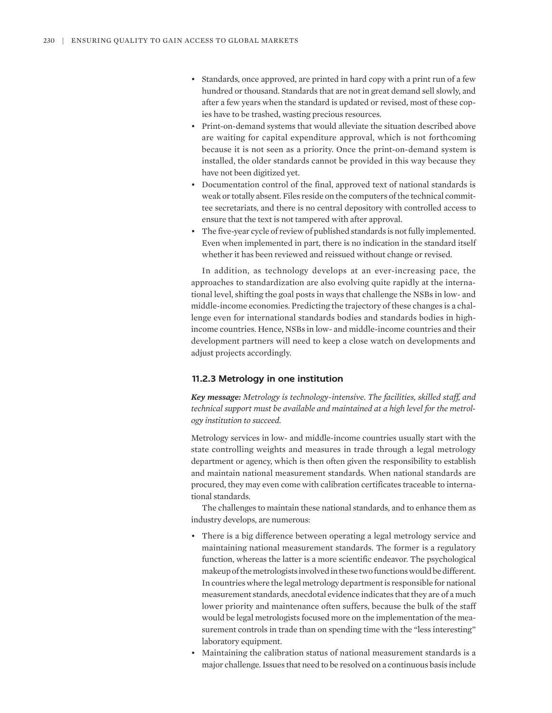- Standards, once approved, are printed in hard copy with a print run of a few hundred or thousand. Standards that are not in great demand sell slowly, and after a few years when the standard is updated or revised, most of these copies have to be trashed, wasting precious resources.
- Print-on-demand systems that would alleviate the situation described above are waiting for capital expenditure approval, which is not forthcoming because it is not seen as a priority. Once the print-on-demand system is installed, the older standards cannot be provided in this way because they have not been digitized yet.
- Documentation control of the final, approved text of national standards is weak or totally absent. Files reside on the computers of the technical committee secretariats, and there is no central depository with controlled access to ensure that the text is not tampered with after approval.
- The five-year cycle of review of published standards is not fully implemented. Even when implemented in part, there is no indication in the standard itself whether it has been reviewed and reissued without change or revised.

In addition, as technology develops at an ever-increasing pace, the approaches to standardization are also evolving quite rapidly at the international level, shifting the goal posts in ways that challenge the NSBs in low- and middle-income economies. Predicting the trajectory of these changes is a challenge even for international standards bodies and standards bodies in highincome countries. Hence, NSBs in low- and middle-income countries and their development partners will need to keep a close watch on developments and adjust projects accordingly.

## **11.2.3 Metrology in one institution**

*Key message: Metrology is technology-intensive. The facilities, skilled staff, and technical support must be available and maintained at a high level for the metrology institution to succeed.*

Metrology services in low- and middle-income countries usually start with the state controlling weights and measures in trade through a legal metrology department or agency, which is then often given the responsibility to establish and maintain national measurement standards. When national standards are procured, they may even come with calibration certificates traceable to international standards.

The challenges to maintain these national standards, and to enhance them as industry develops, are numerous:

- There is a big difference between operating a legal metrology service and maintaining national measurement standards. The former is a regulatory function, whereas the latter is a more scientific endeavor. The psychological makeup of the metrologists involved in these two functions would be different. In countries where the legal metrology department is responsible for national measurement standards, anecdotal evidence indicates that they are of a much lower priority and maintenance often suffers, because the bulk of the staff would be legal metrologists focused more on the implementation of the measurement controls in trade than on spending time with the "less interesting" laboratory equipment.
- Maintaining the calibration status of national measurement standards is a major challenge. Issues that need to be resolved on a continuous basis include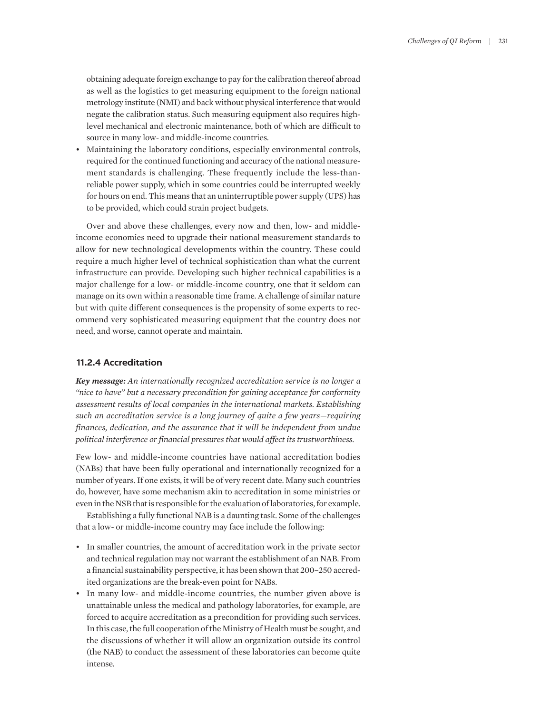obtaining adequate foreign exchange to pay for the calibration thereof abroad as well as the logistics to get measuring equipment to the foreign national metrology institute (NMI) and back without physical interference that would negate the calibration status. Such measuring equipment also requires highlevel mechanical and electronic maintenance, both of which are difficult to source in many low- and middle-income countries.

• Maintaining the laboratory conditions, especially environmental controls, required for the continued functioning and accuracy of the national measurement standards is challenging. These frequently include the less-thanreliable power supply, which in some countries could be interrupted weekly for hours on end. This means that an uninterruptible power supply (UPS) has to be provided, which could strain project budgets.

Over and above these challenges, every now and then, low- and middleincome economies need to upgrade their national measurement standards to allow for new technological developments within the country. These could require a much higher level of technical sophistication than what the current infrastructure can provide. Developing such higher technical capabilities is a major challenge for a low- or middle-income country, one that it seldom can manage on its own within a reasonable time frame. A challenge of similar nature but with quite different consequences is the propensity of some experts to recommend very sophisticated measuring equipment that the country does not need, and worse, cannot operate and maintain.

#### **11.2.4 Accreditation**

*Key message: An internationally recognized accreditation service is no longer a "nice to have" but a necessary precondition for gaining acceptance for conformity assessment results of local companies in the international markets. Establishing such an accreditation service is a long journey of quite a few years—requiring finances, dedication, and the assurance that it will be independent from undue political interference or financial pressures that would affect its trustworthiness.*

Few low- and middle-income countries have national accreditation bodies (NABs) that have been fully operational and internationally recognized for a number of years. If one exists, it will be of very recent date. Many such countries do, however, have some mechanism akin to accreditation in some ministries or even in the NSB that is responsible for the evaluation of laboratories, for example.

Establishing a fully functional NAB is a daunting task. Some of the challenges that a low- or middle-income country may face include the following:

- In smaller countries, the amount of accreditation work in the private sector and technical regulation may not warrant the establishment of an NAB. From a financial sustainability perspective, it has been shown that 200–250 accredited organizations are the break-even point for NABs.
- In many low- and middle-income countries, the number given above is unattainable unless the medical and pathology laboratories, for example, are forced to acquire accreditation as a precondition for providing such services. In this case, the full cooperation of the Ministry of Health must be sought, and the discussions of whether it will allow an organization outside its control (the NAB) to conduct the assessment of these laboratories can become quite intense.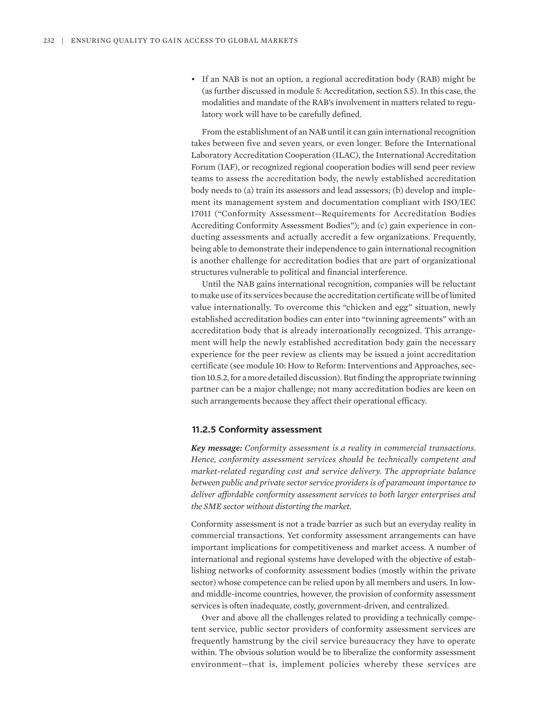• If an NAB is not an option, a regional accreditation body (RAB) might be (as further discussed in module 5: Accreditation, section 5.5). In this case, the modalities and mandate of the RAB's involvement in matters related to regulatory work will have to be carefully defined.

From the establishment of an NAB until it can gain international recognition takes between five and seven years, or even longer. Before the International Laboratory Accreditation Cooperation (ILAC), the International Accreditation Forum (IAF), or recognized regional cooperation bodies will send peer review teams to assess the accreditation body, the newly established accreditation body needs to (a) train its assessors and lead assessors; (b) develop and implement its management system and documentation compliant with ISO/IEC 17011 ("Conformity Assessment—Requirements for Accreditation Bodies Accrediting Conformity Assessment Bodies"); and (c) gain experience in conducting assessments and actually accredit a few organizations. Frequently, being able to demonstrate their independence to gain international recognition is another challenge for accreditation bodies that are part of organizational structures vulnerable to political and financial interference.

Until the NAB gains international recognition, companies will be reluctant to make use of its services because the accreditation certificate will be of limited value internationally. To overcome this "chicken and egg" situation, newly established accreditation bodies can enter into "twinning agreements" with an accreditation body that is already internationally recognized. This arrangement will help the newly established accreditation body gain the necessary experience for the peer review as clients may be issued a joint accreditation certificate (see module 10: How to Reform: Interventions and Approaches, section 10.5.2, for a more detailed discussion). But finding the appropriate twinning partner can be a major challenge; not many accreditation bodies are keen on such arrangements because they affect their operational efficacy.

## **11.2.5 Conformity assessment**

*Key message: Conformity assessment is a reality in commercial transactions. Hence, conformity assessment services should be technically competent and market-related regarding cost and service delivery. The appropriate balance between public and private sector service providers is of paramount importance to deliver affordable conformity assessment services to both larger enterprises and the SME sector without distorting the market.*

Conformity assessment is not a trade barrier as such but an everyday reality in commercial transactions. Yet conformity assessment arrangements can have important implications for competitiveness and market access. A number of international and regional systems have developed with the objective of establishing networks of conformity assessment bodies (mostly within the private sector) whose competence can be relied upon by all members and users. In lowand middle-income countries, however, the provision of conformity assessment services is often inadequate, costly, government-driven, and centralized.

Over and above all the challenges related to providing a technically competent service, public sector providers of conformity assessment services are frequently hamstrung by the civil service bureaucracy they have to operate within. The obvious solution would be to liberalize the conformity assessment environment—that is, implement policies whereby these services are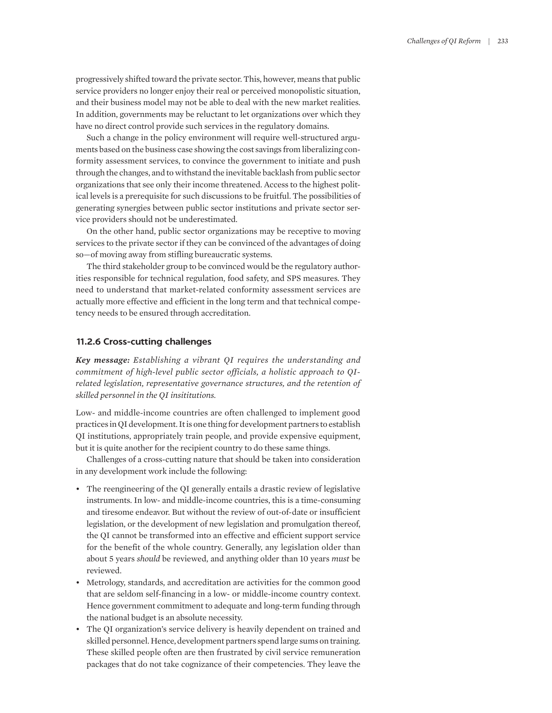progressively shifted toward the private sector. This, however, means that public service providers no longer enjoy their real or perceived monopolistic situation, and their business model may not be able to deal with the new market realities. In addition, governments may be reluctant to let organizations over which they have no direct control provide such services in the regulatory domains.

Such a change in the policy environment will require well-structured arguments based on the business case showing the cost savings from liberalizing conformity assessment services, to convince the government to initiate and push through the changes, and to withstand the inevitable backlash from public sector organizations that see only their income threatened. Access to the highest political levels is a prerequisite for such discussions to be fruitful. The possibilities of generating synergies between public sector institutions and private sector service providers should not be underestimated.

On the other hand, public sector organizations may be receptive to moving services to the private sector if they can be convinced of the advantages of doing so—of moving away from stifling bureaucratic systems.

The third stakeholder group to be convinced would be the regulatory authorities responsible for technical regulation, food safety, and SPS measures. They need to understand that market-related conformity assessment services are actually more effective and efficient in the long term and that technical competency needs to be ensured through accreditation.

## **11.2.6 Cross-cutting challenges**

*Key message: Establishing a vibrant QI requires the understanding and commitment of high-level public sector officials, a holistic approach to QIrelated legislation, representative governance structures, and the retention of skilled personnel in the QI insititutions.*

Low- and middle-income countries are often challenged to implement good practices in QI development. It is one thing for development partners to establish QI institutions, appropriately train people, and provide expensive equipment, but it is quite another for the recipient country to do these same things.

Challenges of a cross-cutting nature that should be taken into consideration in any development work include the following:

- The reengineering of the QI generally entails a drastic review of legislative instruments. In low- and middle-income countries, this is a time-consuming and tiresome endeavor. But without the review of out-of-date or insufficient legislation, or the development of new legislation and promulgation thereof, the QI cannot be transformed into an effective and efficient support service for the benefit of the whole country. Generally, any legislation older than about 5 years *should* be reviewed, and anything older than 10 years *must* be reviewed.
- Metrology, standards, and accreditation are activities for the common good that are seldom self-financing in a low- or middle-income country context. Hence government commitment to adequate and long-term funding through the national budget is an absolute necessity.
- The QI organization's service delivery is heavily dependent on trained and skilled personnel. Hence, development partners spend large sums on training. These skilled people often are then frustrated by civil service remuneration packages that do not take cognizance of their competencies. They leave the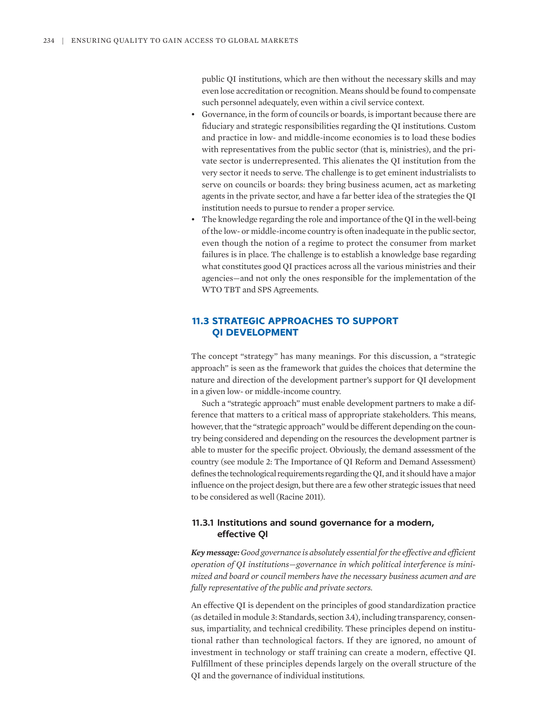public QI institutions, which are then without the necessary skills and may even lose accreditation or recognition. Means should be found to compensate such personnel adequately, even within a civil service context.

- Governance, in the form of councils or boards, is important because there are fiduciary and strategic responsibilities regarding the QI institutions. Custom and practice in low- and middle-income economies is to load these bodies with representatives from the public sector (that is, ministries), and the private sector is underrepresented. This alienates the QI institution from the very sector it needs to serve. The challenge is to get eminent industrialists to serve on councils or boards: they bring business acumen, act as marketing agents in the private sector, and have a far better idea of the strategies the QI institution needs to pursue to render a proper service.
- The knowledge regarding the role and importance of the QI in the well-being of the low- or middle-income country is often inadequate in the public sector, even though the notion of a regime to protect the consumer from market failures is in place. The challenge is to establish a knowledge base regarding what constitutes good QI practices across all the various ministries and their agencies—and not only the ones responsible for the implementation of the WTO TBT and SPS Agreements.

# **11.3 STRATEGIC APPROACHES TO SUPPORT QI DEVELOPMENT**

The concept "strategy" has many meanings. For this discussion, a "strategic approach" is seen as the framework that guides the choices that determine the nature and direction of the development partner's support for QI development in a given low- or middle-income country.

Such a "strategic approach" must enable development partners to make a difference that matters to a critical mass of appropriate stakeholders. This means, however, that the "strategic approach" would be different depending on the country being considered and depending on the resources the development partner is able to muster for the specific project. Obviously, the demand assessment of the country (see module 2: The Importance of QI Reform and Demand Assessment) defines the technological requirements regarding the QI, and it should have a major influence on the project design, but there are a few other strategic issues that need to be considered as well (Racine 2011).

# **11.3.1 Institutions and sound governance for a modern, effective QI**

*Key message: Good governance is absolutely essential for the effective and efficient operation of QI institutions—governance in which political interference is minimized and board or council members have the necessary business acumen and are fully representative of the public and private sectors.*

An effective QI is dependent on the principles of good standardization practice (as detailed in module 3: Standards, section 3.4), including transparency, consensus, impartiality, and technical credibility. These principles depend on institutional rather than technological factors. If they are ignored, no amount of investment in technology or staff training can create a modern, effective QI. Fulfillment of these principles depends largely on the overall structure of the QI and the governance of individual institutions.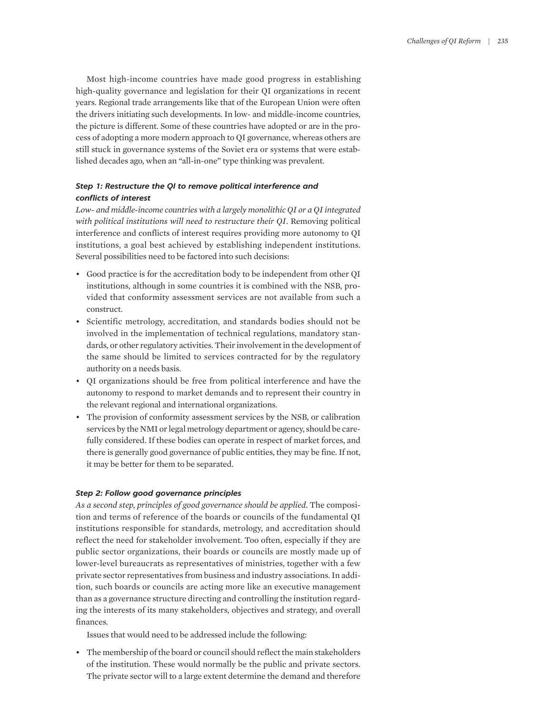Most high-income countries have made good progress in establishing high-quality governance and legislation for their QI organizations in recent years. Regional trade arrangements like that of the European Union were often the drivers initiating such developments. In low- and middle-income countries, the picture is different. Some of these countries have adopted or are in the process of adopting a more modern approach to QI governance, whereas others are still stuck in governance systems of the Soviet era or systems that were established decades ago, when an "all-in-one" type thinking was prevalent.

# *Step 1: Restructure the QI to remove political interference and conflicts of interest*

*Low- and middle-income countries with a largely monolithic QI or a QI integrated with political institutions will need to restructure their QI*. Removing political interference and conflicts of interest requires providing more autonomy to QI institutions, a goal best achieved by establishing independent institutions. Several possibilities need to be factored into such decisions:

- Good practice is for the accreditation body to be independent from other QI institutions, although in some countries it is combined with the NSB, provided that conformity assessment services are not available from such a construct.
- Scientific metrology, accreditation, and standards bodies should not be involved in the implementation of technical regulations, mandatory standards, or other regulatory activities. Their involvement in the development of the same should be limited to services contracted for by the regulatory authority on a needs basis.
- QI organizations should be free from political interference and have the autonomy to respond to market demands and to represent their country in the relevant regional and international organizations.
- The provision of conformity assessment services by the NSB, or calibration services by the NMI or legal metrology department or agency, should be carefully considered. If these bodies can operate in respect of market forces, and there is generally good governance of public entities, they may be fine. If not, it may be better for them to be separated.

## *Step 2: Follow good governance principles*

*As a second step, principles of good governance should be applied*. The composition and terms of reference of the boards or councils of the fundamental QI institutions responsible for standards, metrology, and accreditation should reflect the need for stakeholder involvement. Too often, especially if they are public sector organizations, their boards or councils are mostly made up of lower-level bureaucrats as representatives of ministries, together with a few private sector representatives from business and industry associations. In addition, such boards or councils are acting more like an executive management than as a governance structure directing and controlling the institution regarding the interests of its many stakeholders, objectives and strategy, and overall finances.

Issues that would need to be addressed include the following:

• The membership of the board or council should reflect the main stakeholders of the institution. These would normally be the public and private sectors. The private sector will to a large extent determine the demand and therefore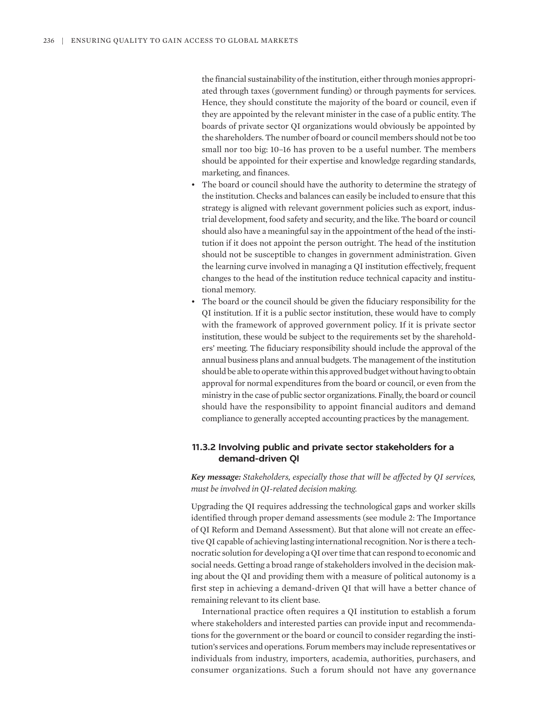the financial sustainability of the institution, either through monies appropriated through taxes (government funding) or through payments for services. Hence, they should constitute the majority of the board or council, even if they are appointed by the relevant minister in the case of a public entity. The boards of private sector QI organizations would obviously be appointed by the shareholders. The number of board or council members should not be too small nor too big: 10–16 has proven to be a useful number. The members should be appointed for their expertise and knowledge regarding standards, marketing, and finances.

- The board or council should have the authority to determine the strategy of the institution. Checks and balances can easily be included to ensure that this strategy is aligned with relevant government policies such as export, industrial development, food safety and security, and the like. The board or council should also have a meaningful say in the appointment of the head of the institution if it does not appoint the person outright. The head of the institution should not be susceptible to changes in government administration. Given the learning curve involved in managing a QI institution effectively, frequent changes to the head of the institution reduce technical capacity and institutional memory.
- The board or the council should be given the fiduciary responsibility for the QI institution. If it is a public sector institution, these would have to comply with the framework of approved government policy. If it is private sector institution, these would be subject to the requirements set by the shareholders' meeting. The fiduciary responsibility should include the approval of the annual business plans and annual budgets. The management of the institution should be able to operate within this approved budget without having to obtain approval for normal expenditures from the board or council, or even from the ministry in the case of public sector organizations. Finally, the board or council should have the responsibility to appoint financial auditors and demand compliance to generally accepted accounting practices by the management.

# **11.3.2 Involving public and private sector stakeholders for a demand-driven QI**

*Key message: Stakeholders, especially those that will be affected by QI services, must be involved in QI-related decision making.*

Upgrading the QI requires addressing the technological gaps and worker skills identified through proper demand assessments (see module 2: The Importance of QI Reform and Demand Assessment). But that alone will not create an effective QI capable of achieving lasting international recognition. Nor is there a technocratic solution for developing a QI over time that can respond to economic and social needs. Getting a broad range of stakeholders involved in the decision making about the QI and providing them with a measure of political autonomy is a first step in achieving a demand-driven QI that will have a better chance of remaining relevant to its client base.

International practice often requires a QI institution to establish a forum where stakeholders and interested parties can provide input and recommendations for the government or the board or council to consider regarding the institution's services and operations. Forum members may include representatives or individuals from industry, importers, academia, authorities, purchasers, and consumer organizations. Such a forum should not have any governance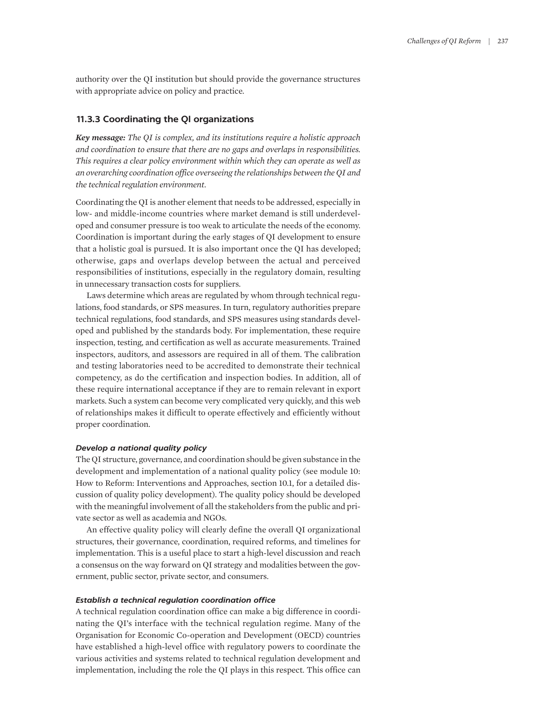authority over the QI institution but should provide the governance structures with appropriate advice on policy and practice.

# **11.3.3 Coordinating the QI organizations**

*Key message: The QI is complex, and its institutions require a holistic approach and coordination to ensure that there are no gaps and overlaps in responsibilities. This requires a clear policy environment within which they can operate as well as an overarching coordination office overseeing the relationships between the QI and the technical regulation environment.*

Coordinating the QI is another element that needs to be addressed, especially in low- and middle-income countries where market demand is still underdeveloped and consumer pressure is too weak to articulate the needs of the economy. Coordination is important during the early stages of QI development to ensure that a holistic goal is pursued. It is also important once the QI has developed; otherwise, gaps and overlaps develop between the actual and perceived responsibilities of institutions, especially in the regulatory domain, resulting in unnecessary transaction costs for suppliers.

Laws determine which areas are regulated by whom through technical regulations, food standards, or SPS measures. In turn, regulatory authorities prepare technical regulations, food standards, and SPS measures using standards developed and published by the standards body. For implementation, these require inspection, testing, and certification as well as accurate measurements. Trained inspectors, auditors, and assessors are required in all of them. The calibration and testing laboratories need to be accredited to demonstrate their technical competency, as do the certification and inspection bodies. In addition, all of these require international acceptance if they are to remain relevant in export markets. Such a system can become very complicated very quickly, and this web of relationships makes it difficult to operate effectively and efficiently without proper coordination.

## *Develop a national quality policy*

The QI structure, governance, and coordination should be given substance in the development and implementation of a national quality policy (see module 10: How to Reform: Interventions and Approaches, section 10.1, for a detailed discussion of quality policy development). The quality policy should be developed with the meaningful involvement of all the stakeholders from the public and private sector as well as academia and NGOs.

An effective quality policy will clearly define the overall QI organizational structures, their governance, coordination, required reforms, and timelines for implementation. This is a useful place to start a high-level discussion and reach a consensus on the way forward on QI strategy and modalities between the government, public sector, private sector, and consumers.

### *Establish a technical regulation coordination office*

A technical regulation coordination office can make a big difference in coordinating the QI's interface with the technical regulation regime. Many of the Organisation for Economic Co-operation and Development (OECD) countries have established a high-level office with regulatory powers to coordinate the various activities and systems related to technical regulation development and implementation, including the role the QI plays in this respect. This office can